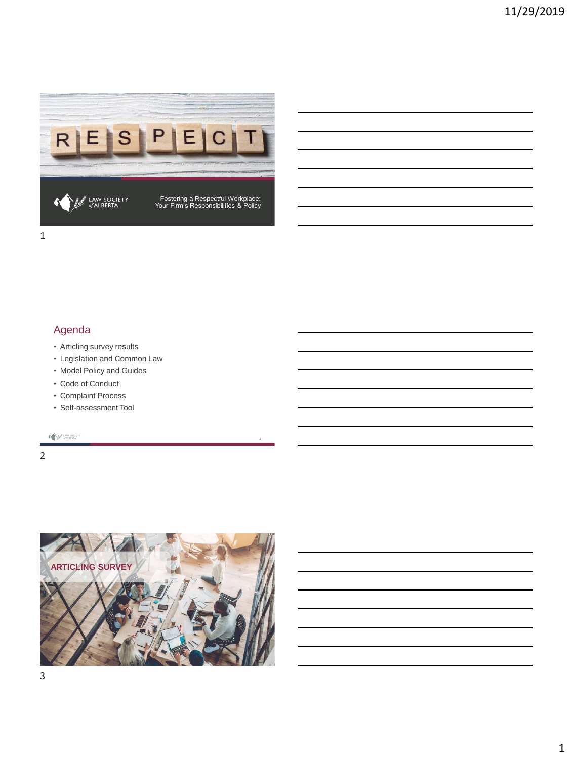

# Agenda

- Articling survey results
- Legislation and Common Law
- Model Policy and Guides
- Code of Conduct
- Complaint Process
- Self-assessment Tool

A MARIAN

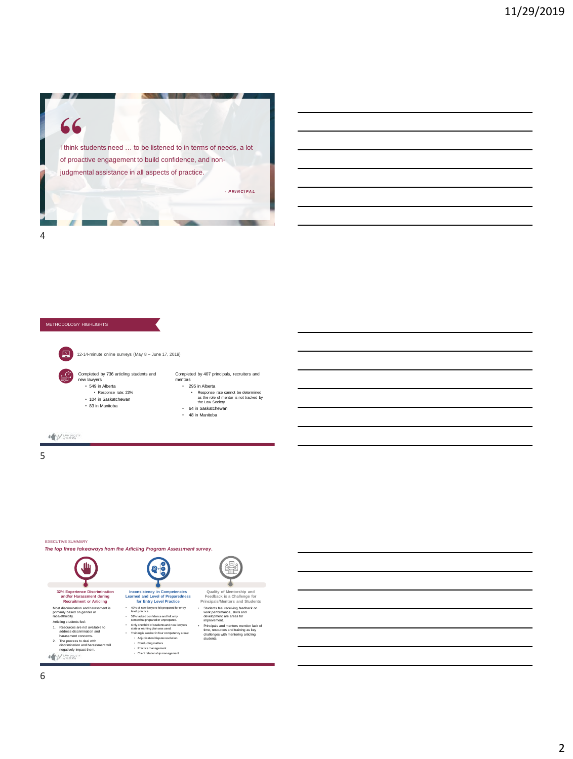

#### METHODOLOGY HIGHLIGHTS

国

**A MARIATA** 

• 549 in Alberta • Response rate: 23% • 104 in Saskatchewan • 83 in Manitoba

12-14-minute online surveys (May 8 – June 17, 2019)

Completed by 736 articling students and new lawyers Completed by 407 principals, recruiters and mentors • 295 in Alberta • Response rate cannot be determined as the role of mentor is not tracked by the Law Society • 64 in Saskatchewan

- - 48 in Manitoba

5

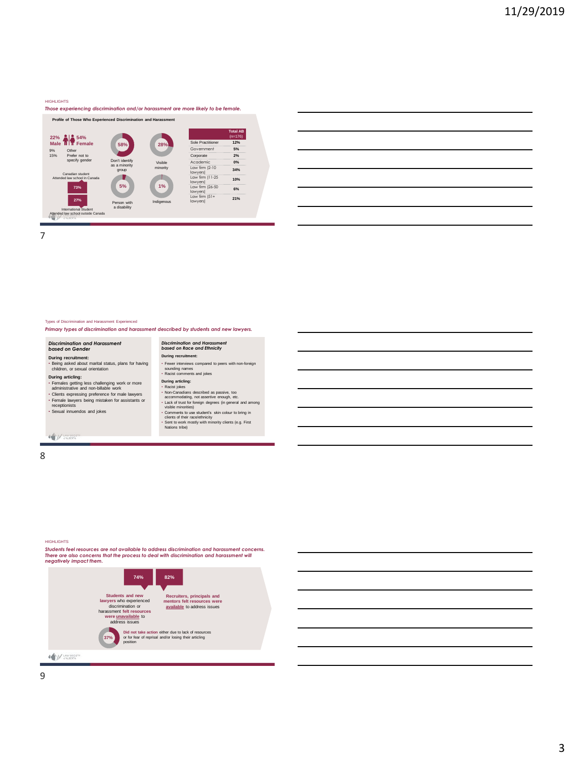#### HIGHLIGHTS

#### *Those experiencing discrimination and/or harassment are more likely to be female.*



7

#### Types of Discrimination and Harassment Experienced

#### *Primary types of discrimination and harassment described by students and new lawyers.*

#### *Discrimination and Harassment based on Gender*

# **During recruitment:** • Being asked about marital status, plans for having children, or sexual orientation

#### **During articling:**

 $\begin{picture}(20,10) \put(0,0){\vector(1,0){10}} \put(15,0){\vector(1,0){10}} \put(15,0){\vector(1,0){10}} \put(15,0){\vector(1,0){10}} \put(15,0){\vector(1,0){10}} \put(15,0){\vector(1,0){10}} \put(15,0){\vector(1,0){10}} \put(15,0){\vector(1,0){10}} \put(15,0){\vector(1,0){10}} \put(15,0){\vector(1,0){10}} \put(15,0){\vector(1,0){10}} \put(15,0){\vector(1$ 

Fermales getting less challenging work or more<br>administrative and non-billable work<br>- Clients expressing preference for male lawyers<br>- Fernale lawyers being mistaken for assistants or<br>receptionists<br>- Sexual innuendos and j

During arrichings<br>- Racist jokes<br>- Rocist jokes<br>- accommodating, not assertive enough, etc.<br>- Lack of tust for foreign degrees (in general and among<br>- Lack of tust for foreign degrees (in general and among<br>- Comments to us

• Fewer interviews compared to peers with non-foreign sounding names • Racist comments and jokes

*Discrimination and Harassment based on Race and Ethnicity* **During recruitment:**

8

#### HIGHLIGHTS

*Students feel resources are not available to address discrimination and harassment concerns. There are also concerns that the process to deal with discrimination and harassment will negatively impact them.* 

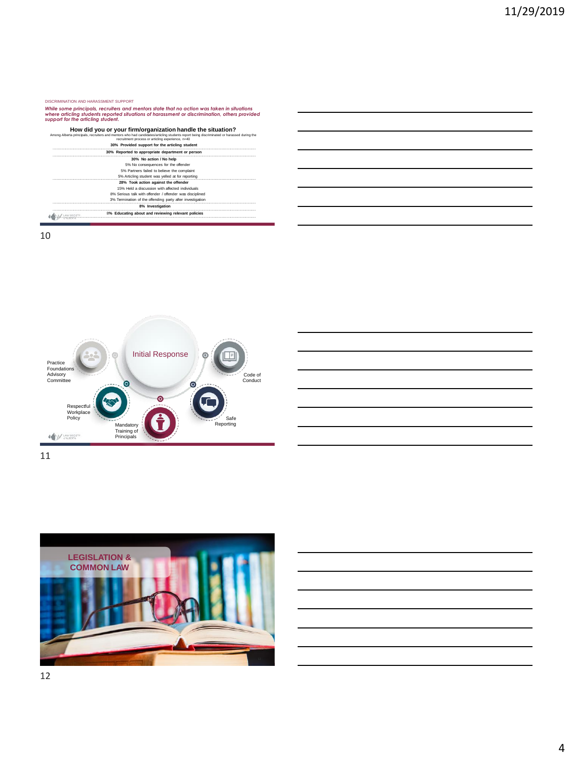#### DISCRIMINATION AND HARASSMENT SUPPORT

While some principals, recruiters and mentors state that no action was taken in situations<br>where articling students reported situations of harassment or discrimination, others provided<br>support for the articling student.

| How did you or your firm/organization handle the situation?<br>Among Alberta principals, recruiters and mentors who had candidates/articling students report being discriminated or harassed during the<br>recruitment process or articling experience, n=40 |
|--------------------------------------------------------------------------------------------------------------------------------------------------------------------------------------------------------------------------------------------------------------|
| 30% Provided support for the articling student                                                                                                                                                                                                               |
| 30% Reported to appropriate department or person                                                                                                                                                                                                             |
| 30% No action / No help                                                                                                                                                                                                                                      |
| 5% No consequences for the offender                                                                                                                                                                                                                          |
| 5% Partners failed to believe the complaint                                                                                                                                                                                                                  |
| 5% Articling student was yelled at for reporting                                                                                                                                                                                                             |
| 28% Took action against the offender                                                                                                                                                                                                                         |
| 15% Held a discussion with affected individuals                                                                                                                                                                                                              |
| 8% Serious talk with offender / offender was disciplined                                                                                                                                                                                                     |
| 3% Termination of the offending party after investigation                                                                                                                                                                                                    |
| 8% Investigation                                                                                                                                                                                                                                             |
| 8% Educating about and reviewing relevant policies                                                                                                                                                                                                           |



11

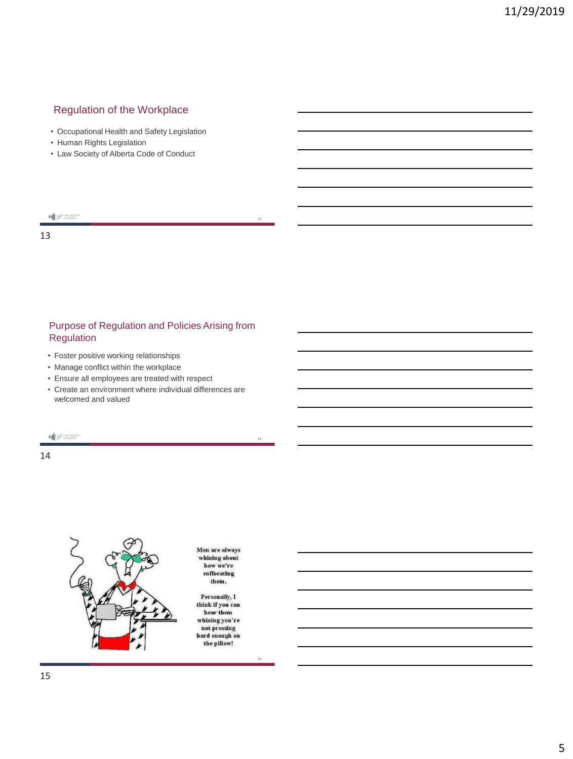## Regulation of the Workplace

- Occupational Health and Safety Legislation
- Human Rights Legislation
- Law Society of Alberta Code of Conduct

## $\begin{picture}(20,10) \put(0,0){\vector(0,1){10}} \put(15,0){\vector(0,1){10}} \put(15,0){\vector(0,1){10}} \put(15,0){\vector(0,1){10}} \put(15,0){\vector(0,1){10}} \put(15,0){\vector(0,1){10}} \put(15,0){\vector(0,1){10}} \put(15,0){\vector(0,1){10}} \put(15,0){\vector(0,1){10}} \put(15,0){\vector(0,1){10}} \put(15,0){\vector(0,1){10}} \put(15,0){\vector(0$

13

#### Purpose of Regulation and Policies Arising from Regulation

- Foster positive working relationships
- Manage conflict within the workplace
- Ensure all employees are treated with respect
- Create an environment where individual differences are welcomed and valued

A M LAW SOCIETY

14



Men are always While a ways<br>whining about<br>how we're<br>suffocating them.

13

14

15

Personally, I think if you can hear them whining you're not pressing<br>hard enough on the pillow!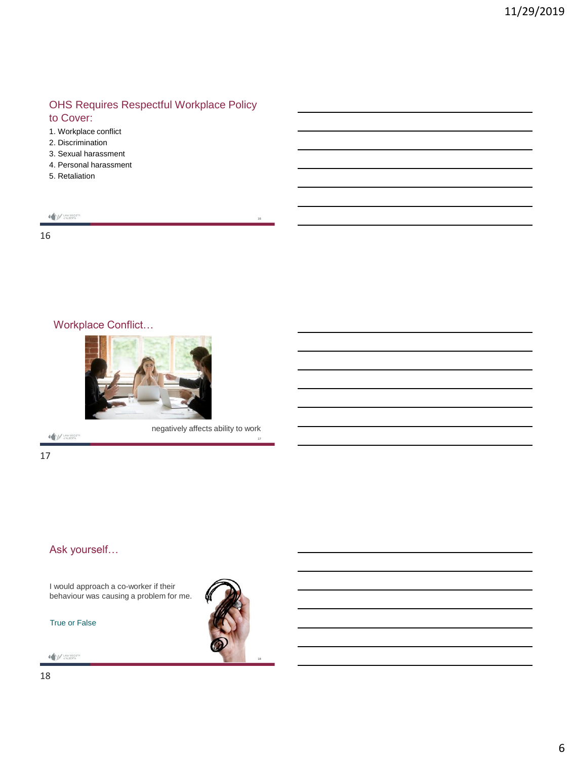#### OHS Requires Respectful Workplace Policy to Cover:

- 1. Workplace conflict
- 2. Discrimination
- 3. Sexual harassment
- 4. Personal harassment
- 5. Retaliation

| LAW SOCIET |
|------------|
|            |
| ÷          |

16

# Workplace Conflict…



A M LAW SOCIETY

negatively affects ability to work

16

17

#### Ask yourself…

I would approach a co-worker if their behaviour was causing a problem for me.

True or False

 $\begin{picture}(20,10) \put(0,0){\vector(0,1){10}} \put(15,0){\vector(0,1){10}} \put(15,0){\vector(0,1){10}} \put(15,0){\vector(0,1){10}} \put(15,0){\vector(0,1){10}} \put(15,0){\vector(0,1){10}} \put(15,0){\vector(0,1){10}} \put(15,0){\vector(0,1){10}} \put(15,0){\vector(0,1){10}} \put(15,0){\vector(0,1){10}} \put(15,0){\vector(0,1){10}} \put(15,0){\vector(0$ 



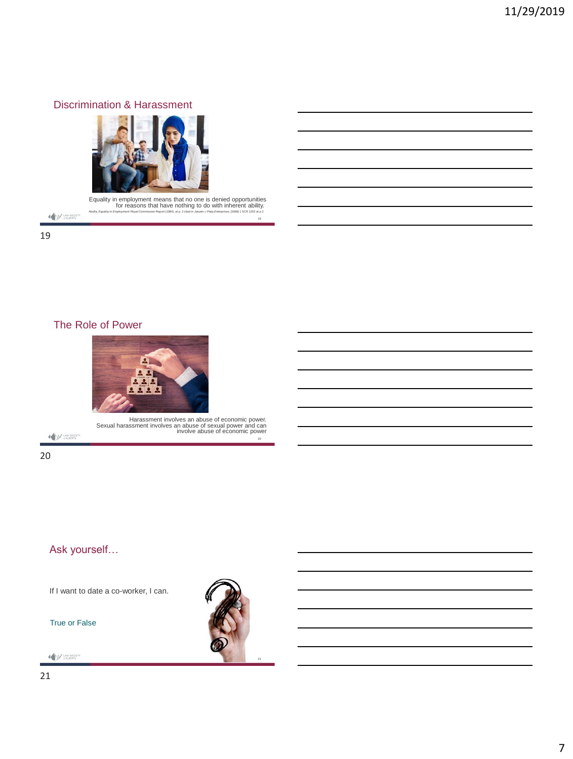#### Discrimination & Harassment



Equality in employment means that no one is denied opportunities<br>for reasons that have nothing to do with inherent ability.<br>Aballa, Equality in Employment Royal Commission Report (1984), at p. 2 celed in Jammor Platy Ente

19

20

 $\bigotimes_{\mathcal{C}}\bigcup_{\mathcal{C}}\bigcup_{\mathcal{C}}\mathcal{C}^{\text{LMM}}_{\text{SQCETA}}$ 19

The Role of Power



Harassment involves an abuse of economic power. Sexual harassment involves an abuse of sexual power and can involve abuse of economic power

 $\begin{picture}(20,10) \put(0,0){\vector(0,1){10}} \put(15,0){\vector(0,1){10}} \put(15,0){\vector(0,1){10}} \put(15,0){\vector(0,1){10}} \put(15,0){\vector(0,1){10}} \put(15,0){\vector(0,1){10}} \put(15,0){\vector(0,1){10}} \put(15,0){\vector(0,1){10}} \put(15,0){\vector(0,1){10}} \put(15,0){\vector(0,1){10}} \put(15,0){\vector(0,1){10}} \put(15,0){\vector(0$ 

20

# Ask yourself…

If I want to date a co-worker, I can.

True or False

A M LAW SOCIETY



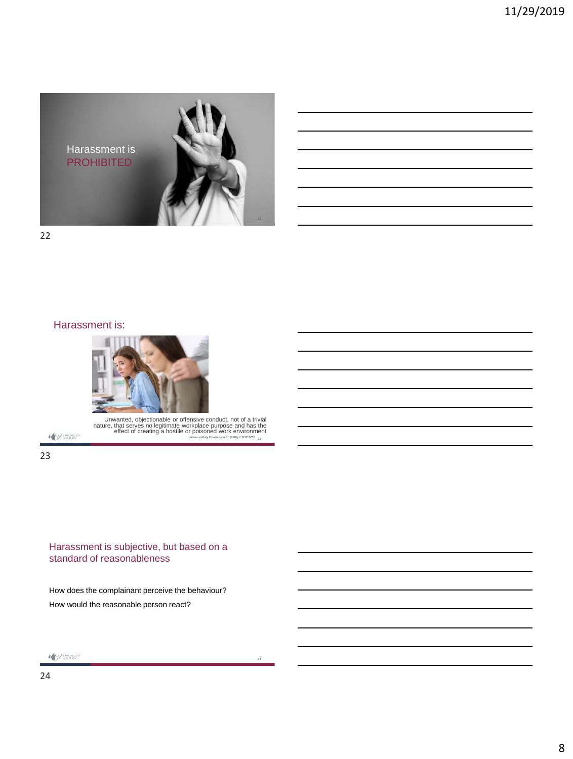

22

#### Harassment is:



A M LAW SOCIETY

Unwanted, objectionable or offensive conduct, not of a trivial<br>nature, that serves no legitimate workplace purpose and has the<br>effect of creating a hostile or poisoned work environment<br>strate in the end of creating a host

24

23

#### Harassment is subjective, but based on a standard of reasonableness

How does the complainant perceive the behaviour? How would the reasonable person react?

 $\begin{picture}(20,10) \put(0,0){\vector(0,1){10}} \put(15,0){\vector(0,1){10}} \put(15,0){\vector(0,1){10}} \put(15,0){\vector(0,1){10}} \put(15,0){\vector(0,1){10}} \put(15,0){\vector(0,1){10}} \put(15,0){\vector(0,1){10}} \put(15,0){\vector(0,1){10}} \put(15,0){\vector(0,1){10}} \put(15,0){\vector(0,1){10}} \put(15,0){\vector(0,1){10}} \put(15,0){\vector(0$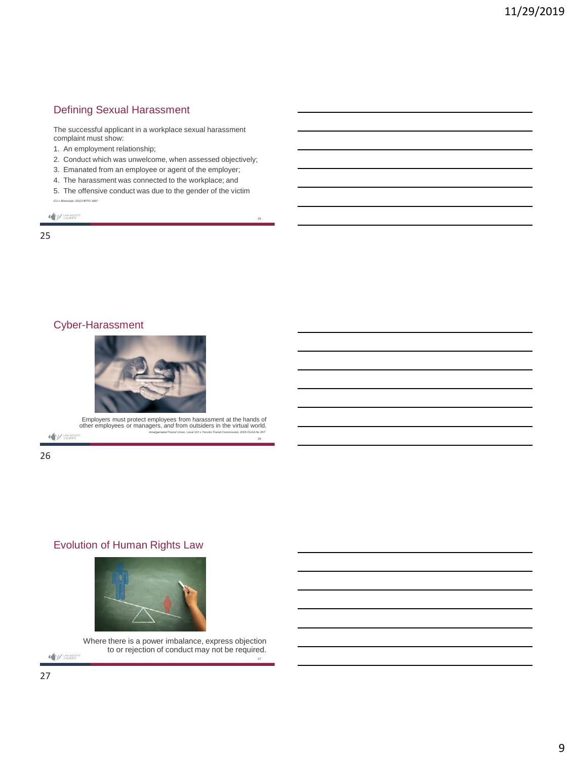## Defining Sexual Harassment

The successful applicant in a workplace sexual harassment complaint must show:

1. An employment relationship;

- 2. Conduct which was unwelcome, when assessed objectively;
- 3. Emanated from an employee or agent of the employer;
- 4. The harassment was connected to the workplace; and
- 5. The offensive conduct was due to the gender of the victim *CU v Blencowe*, 2013 HRTO 1667

25

26

27

 $\label{eq:W} \begin{minipage}{0.9\linewidth} \begin{minipage}{.4\linewidth} \begin{minipage}{.4\linewidth} \begin{minipage}{.4\linewidth} \hline \textbf{M} & \textbf{MSEER} \\ \textbf{MSEER} \\ \textbf{MSEER} \\ \end{minipage} \end{minipage} \end{minipage}$ 

25

## Cyber-Harassment



Employers must protect employees from harassment at the hands of other employees or managers, *and* from outsiders in the virtual world.

*Amalgamated Transit Union, Local 113 v Toronto Transit Commission, 2016 OLAA No 267*

 $\begin{picture}(20,10) \put(0,0){\vector(0,1){10}} \put(15,0){\vector(0,1){10}} \put(15,0){\vector(0,1){10}} \put(15,0){\vector(0,1){10}} \put(15,0){\vector(0,1){10}} \put(15,0){\vector(0,1){10}} \put(15,0){\vector(0,1){10}} \put(15,0){\vector(0,1){10}} \put(15,0){\vector(0,1){10}} \put(15,0){\vector(0,1){10}} \put(15,0){\vector(0,1){10}} \put(15,0){\vector(0$ 

26

## Evolution of Human Rights Law



Where there is a power imbalance, express objection to or rejection of conduct may not be required.

A MUNISION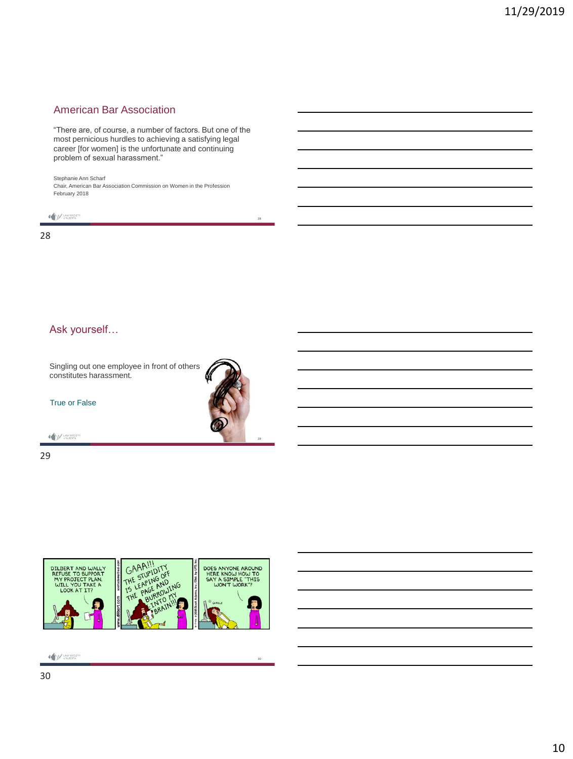#### American Bar Association

"There are, of course, a number of factors. But one of the most pernicious hurdles to achieving a satisfying legal career [for women] is the unfortunate and continuing problem of sexual harassment."

28

29

30

Stephanie Ann Scharf

Chair, American Bar Association Commission on Women in the Profession February 2018



28

#### Ask yourself…

Singling out one employee in front of others constitutes harassment.

True or False

A MALIBRATIV

29



 $\begin{picture}(20,10) \put(0,0){\vector(0,1){10}} \put(15,0){\vector(0,1){10}} \put(15,0){\vector(0,1){10}} \put(15,0){\vector(0,1){10}} \put(15,0){\vector(0,1){10}} \put(15,0){\vector(0,1){10}} \put(15,0){\vector(0,1){10}} \put(15,0){\vector(0,1){10}} \put(15,0){\vector(0,1){10}} \put(15,0){\vector(0,1){10}} \put(15,0){\vector(0,1){10}} \put(15,0){\vector(0$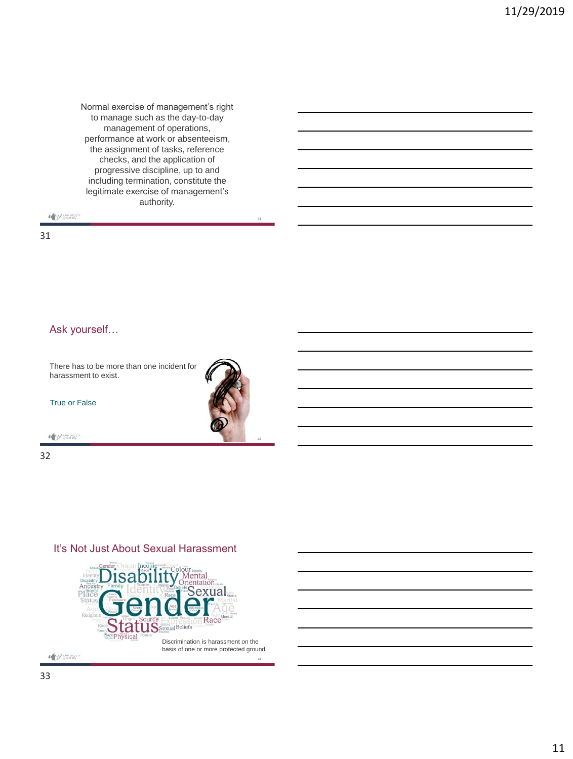Normal exercise of management's right to manage such as the day-to-day management of operations, performance at work or absenteeism, the assignment of tasks, reference checks, and the application of progressive discipline, up to and including termination, constitute the legitimate exercise of management's authority.

 $\bigotimes_{\mathcal{C}}\bigcup_{\mathcal{C}}\bigcup_{\mathcal{C}}\mathcal{C}(\mathcal{C})\subseteq\mathcal{C}(\mathcal{C})$ 

31

#### Ask yourself…

There has to be more than one incident for harassment to exist.

True or False

A M LAW SOCIETY

32

#### It's Not Just About Sexual Harassment



11



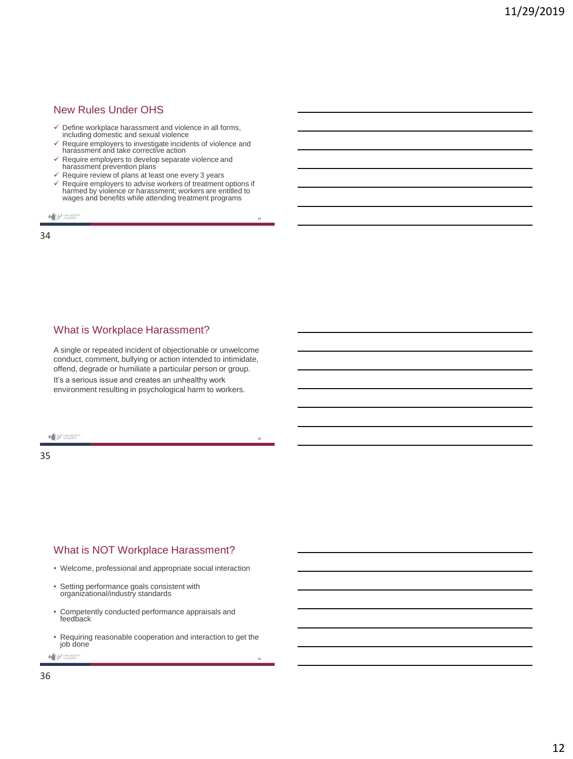#### New Rules Under OHS

- ✓ Define workplace harassment and violence in all forms, including domestic and sexual violence
- ✓ Require employers to investigate incidents of violence and harassment and take corrective action
- $\checkmark$  Require employers to develop separate violence and harassment prevention plans
- $\checkmark$  Require review of plans at least one every 3 years
- ✓ Require employers to advise workers of treatment options if harmed by violence or harassment; workers are entitled to wages and benefits while attending treatment programs

34

35

36

**MUNISIPALITY** 

34

#### What is Workplace Harassment?

A single or repeated incident of objectionable or unwelcome conduct, comment, bullying or action intended to intimidate, offend, degrade or humiliate a particular person or group. It's a serious issue and creates an unhealthy work environment resulting in psychological harm to workers.

A M LAW SOCIET

35

#### What is NOT Workplace Harassment?

- Welcome, professional and appropriate social interaction
- Setting performance goals consistent with organizational/industry standards
- Competently conducted performance appraisals and feedback
- Requiring reasonable cooperation and interaction to get the job done

**ANY UNIVERTA**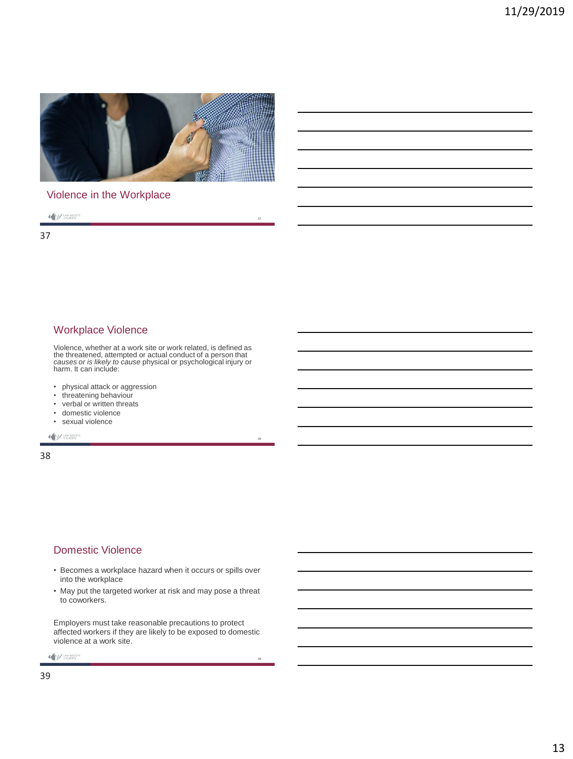

37

38

39

## Violence in the Workplace

 $\bigotimes_{\mathcal{M}} \bigcup_{\mathcal{M} \in \mathsf{ALBERTA}} \mathsf{Lip}_\mathcal{M}$ 

37

## Workplace Violence

Violence, whether at a work site or work related, is defined as the threatened, attempted or actual conduct of a person that *causes or is likely to cause* physical or psychological injury or harm. It can include:

- physical attack or aggression
- threatening behaviour
- verbal or written threats
- domestic violence
- sexual violence

A M LAW SOCIETY

38

#### Domestic Violence

- Becomes a workplace hazard when it occurs or spills over into the workplace
- May put the targeted worker at risk and may pose a threat to coworkers.

Employers must take reasonable precautions to protect affected workers if they are likely to be exposed to domestic violence at a work site.

A M LAW SOCIETY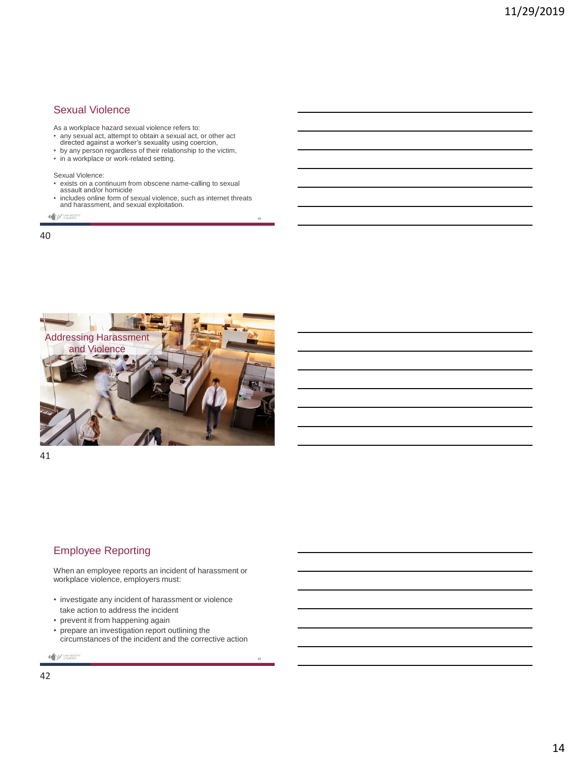#### Sexual Violence

As a workplace hazard sexual violence refers to:

- any sexual act, attempt to obtain a sexual act, or other act directed against a worker's sexuality using coercion,
- by any person regardless of their relationship to the victim,
- in a workplace or work-related setting.

Sexual Violence:

- exists on a continuum from obscene name-calling to sexual assault and/or homicide
- includes online form of sexual violence, such as internet threats and harassment, and sexual exploitation.

40

42

**ANY UNISOCE** 

40



41

#### Employee Reporting

When an employee reports an incident of harassment or workplace violence, employers must:

- investigate any incident of harassment or violence take action to address the incident
- prevent it from happening again
- prepare an investigation report outlining the circumstances of the incident and the corrective action

```
ANY UNIV SOCIETY
```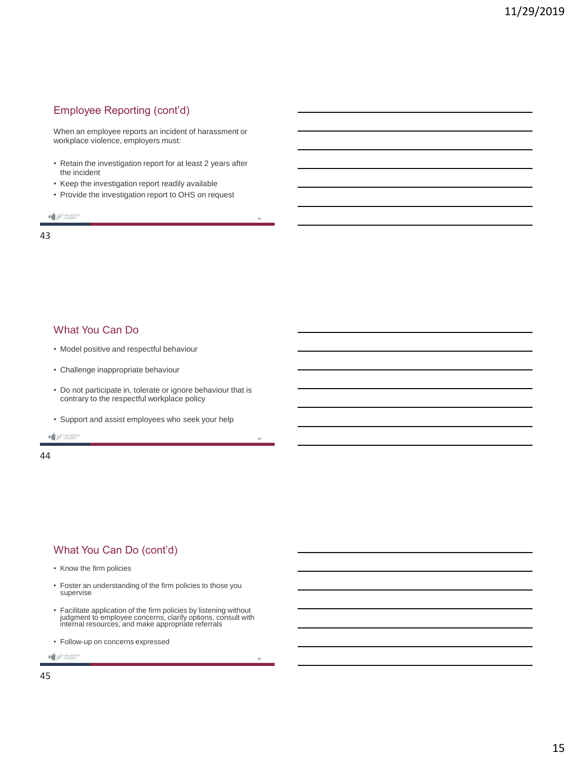## Employee Reporting (cont'd)

When an employee reports an incident of harassment or workplace violence, employers must:

• Retain the investigation report for at least 2 years after the incident

43

44

45

- Keep the investigation report readily available
- Provide the investigation report to OHS on request

 $\bigotimes_{\mathcal{C}}\bigcup_{\mathcal{C}}\bigcup_{\mathcal{C}}\mathsf{U}\mathsf{W}\mathsf{SO}\mathsf{C}\mathsf{E}\mathsf{TV}$ 

43

#### What You Can Do

- Model positive and respectful behaviour
- Challenge inappropriate behaviour
- Do not participate in, tolerate or ignore behaviour that is contrary to the respectful workplace policy
- Support and assist employees who seek your help

A M LAW SOCIETY

44

#### What You Can Do (cont'd)

- Know the firm policies
- Foster an understanding of the firm policies to those you supervise
- Facilitate application of the firm policies by listening without judgment to employee concerns, clarify options, consult with internal resources, and make appropriate referrals
- Follow-up on concerns expressed

A M LAW SOCIETY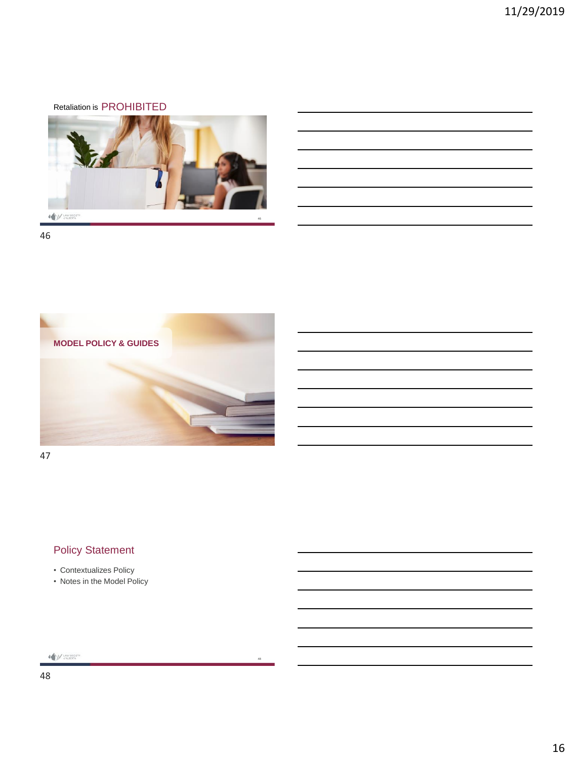## Retaliation is PROHIBITED



46



48

47

# Policy Statement

- Contextualizes Policy
- Notes in the Model Policy

 $\begin{picture}(180,10) \put(0,0){\vector(0,1){10}} \put(10,0){\vector(0,1){10}} \put(10,0){\vector(0,1){10}} \put(10,0){\vector(0,1){10}} \put(10,0){\vector(0,1){10}} \put(10,0){\vector(0,1){10}} \put(10,0){\vector(0,1){10}} \put(10,0){\vector(0,1){10}} \put(10,0){\vector(0,1){10}} \put(10,0){\vector(0,1){10}} \put(10,0){\vector(0,1){10}} \put(10,0){\vector($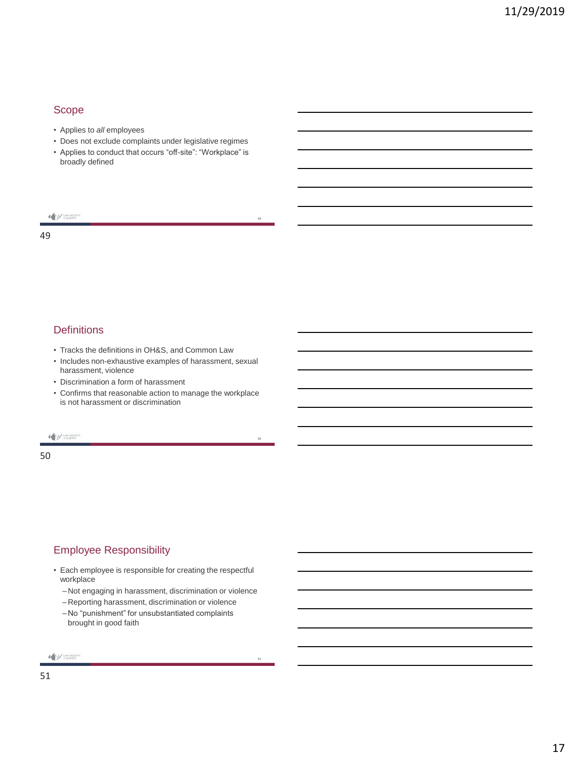#### Scope

- Applies to *all* employees
- Does not exclude complaints under legislative regimes
- Applies to conduct that occurs "off-site": "Workplace" is broadly defined

49

50

51

 $\bigotimes_{\mathcal{C}}\bigcup_{\mathcal{C}}\bigcup_{\mathcal{C}}\mathsf{U}\mathsf{W}\mathsf{SO}\mathsf{C}\mathsf{E}\mathsf{TV}$ 

49

#### **Definitions**

- Tracks the definitions in OH&S, and Common Law
- Includes non-exhaustive examples of harassment, sexual harassment, violence
- Discrimination a form of harassment
- Confirms that reasonable action to manage the workplace is not harassment or discrimination

A M LAW SOCIETY

50

#### Employee Responsibility

- Each employee is responsible for creating the respectful workplace
	- –Not engaging in harassment, discrimination or violence
	- –Reporting harassment, discrimination or violence
	- –No "punishment" for unsubstantiated complaints brought in good faith

A M LAW SOCIETY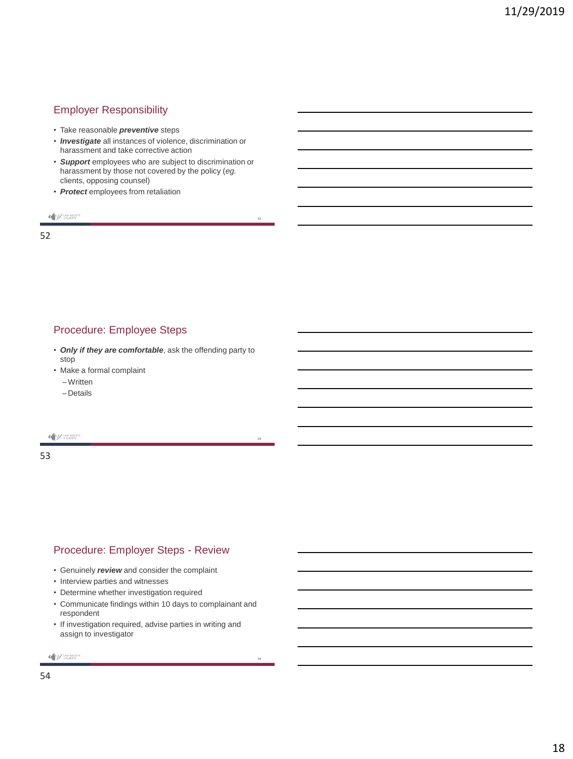## Employer Responsibility

- Take reasonable *preventive* steps
- *Investigate* all instances of violence, discrimination or harassment and take corrective action
- *Support* employees who are subject to discrimination or harassment by those not covered by the policy (*eg.* clients, opposing counsel)

52

54

• *Protect* employees from retaliation

 $\bigotimes_{\mathcal{M}} \bigcup_{\mathcal{M} \in \mathsf{ALBERTA}} \mathsf{Lip}_\mathcal{M}$ 

52

#### Procedure: Employee Steps

- *Only if they are comfortable*, ask the offending party to stop
- Make a formal complaint
	- –Written
	- –Details

A M LAW SOCIETY

53

#### Procedure: Employer Steps - Review

- Genuinely *review* and consider the complaint
- Interview parties and witnesses
- Determine whether investigation required
- Communicate findings within 10 days to complainant and respondent
- If investigation required, advise parties in writing and assign to investigator

```
A M LAW SOCIETY
```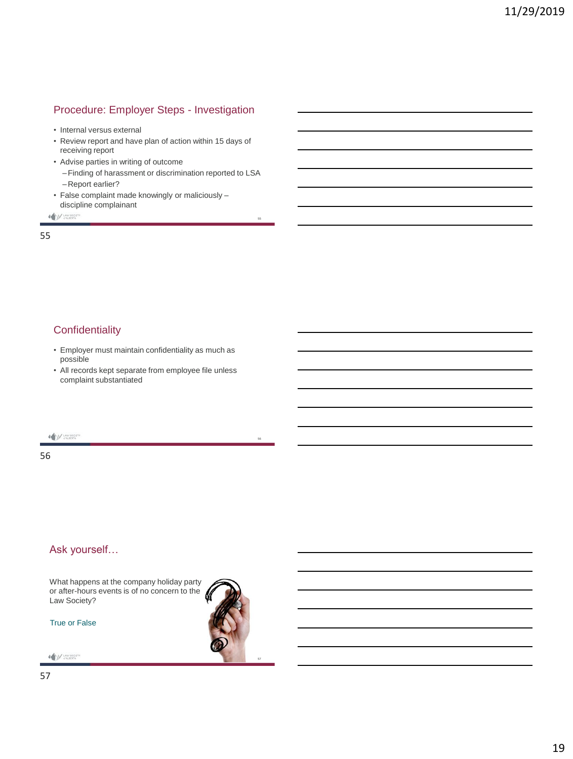## Procedure: Employer Steps - Investigation

- Internal versus external
- Review report and have plan of action within 15 days of receiving report
- Advise parties in writing of outcome
	- –Finding of harassment or discrimination reported to LSA –Report earlier?

55

56

• False complaint made knowingly or maliciously – discipline complainant

 $\begin{picture}(20,10) \put(0,0){\vector(0,1){30}} \put(15,0){\vector(0,1){30}} \put(15,0){\vector(0,1){30}} \put(15,0){\vector(0,1){30}} \put(15,0){\vector(0,1){30}} \put(15,0){\vector(0,1){30}} \put(15,0){\vector(0,1){30}} \put(15,0){\vector(0,1){30}} \put(15,0){\vector(0,1){30}} \put(15,0){\vector(0,1){30}} \put(15,0){\vector(0,1){30}} \put(15,0){\vector(0$ 

55

## **Confidentiality**

- Employer must maintain confidentiality as much as possible
- All records kept separate from employee file unless complaint substantiated

**A MUNISIONERY** 

56

#### Ask yourself…

What happens at the company holiday party or after-hours events is of no concern to the N Law Society?

True or False

**A MUNISIONERY**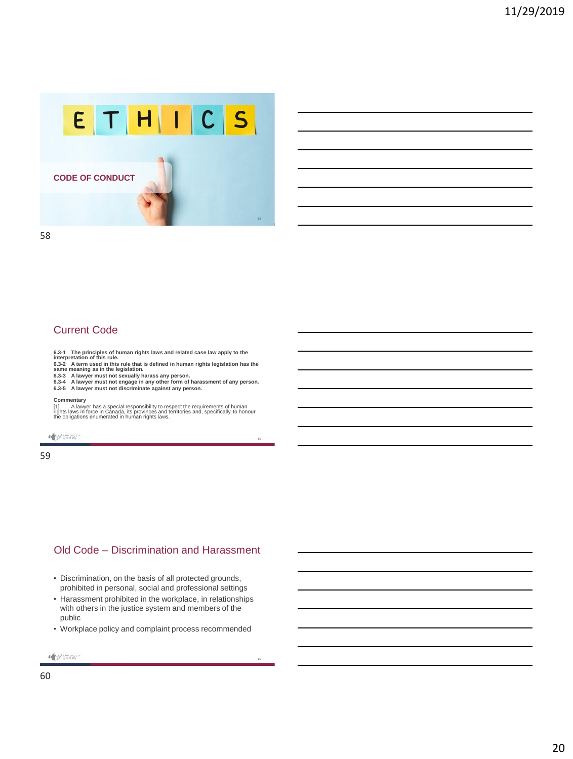

58

#### Current Code

**6.3-1 The principles of human rights laws and related case law apply to the interpretation of this rule.**

6.3-2 A term used in this rule that is defined in human rights legislation has the<br>same meaning as in the legislation.<br>6.3-3 A lawyer must not sexually harass any person.<br>6.3-3 A lawyer must not engage in any other form of

#### **Commentary**

[1] A lawyer has a special responsibility to respect the requirements of human rights laws in force in Canada, its provinces and territories and, specifically, to honour the obligations enumerated in human rights laws.

**A MUNISIONERY** 

59

## Old Code – Discrimination and Harassment

- Discrimination, on the basis of all protected grounds, prohibited in personal, social and professional settings
- Harassment prohibited in the workplace, in relationships with others in the justice system and members of the public
- Workplace policy and complaint process recommended

60

```
A MUNISIONERY
```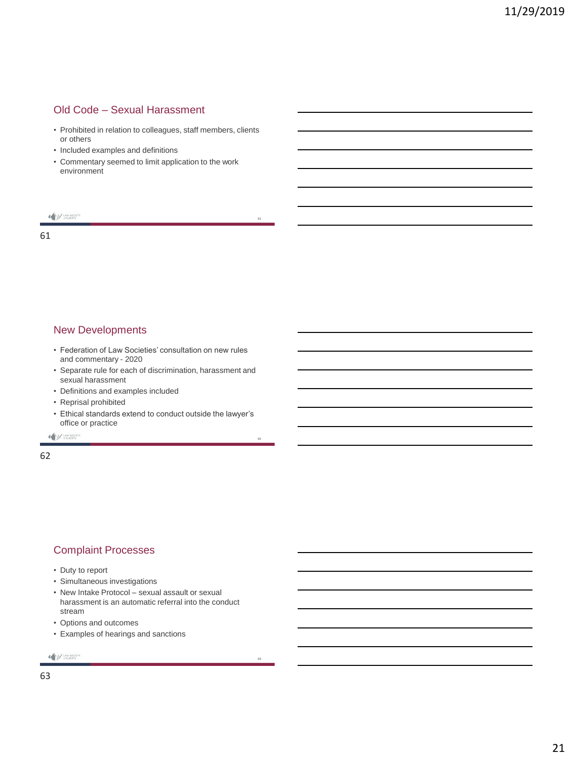#### Old Code – Sexual Harassment

• Prohibited in relation to colleagues, staff members, clients or others

61

63

- Included examples and definitions
- Commentary seemed to limit application to the work environment

#### $\bigotimes_{\mathcal{C}}\bigcup_{\mathcal{C}}\bigcup_{\mathcal{C}}\mathsf{U}\mathsf{W}\mathsf{SO}\mathsf{C}\mathsf{E}\mathsf{TV}$

61

#### New Developments

- Federation of Law Societies' consultation on new rules and commentary - 2020
- Separate rule for each of discrimination, harassment and sexual harassment
- Definitions and examples included
- Reprisal prohibited
- Ethical standards extend to conduct outside the lawyer's office or practice

A M LAW SOCIETY

62

#### Complaint Processes

- Duty to report
- Simultaneous investigations
- New Intake Protocol sexual assault or sexual harassment is an automatic referral into the conduct stream
- Options and outcomes
- Examples of hearings and sanctions

A M LAW SOCIETY